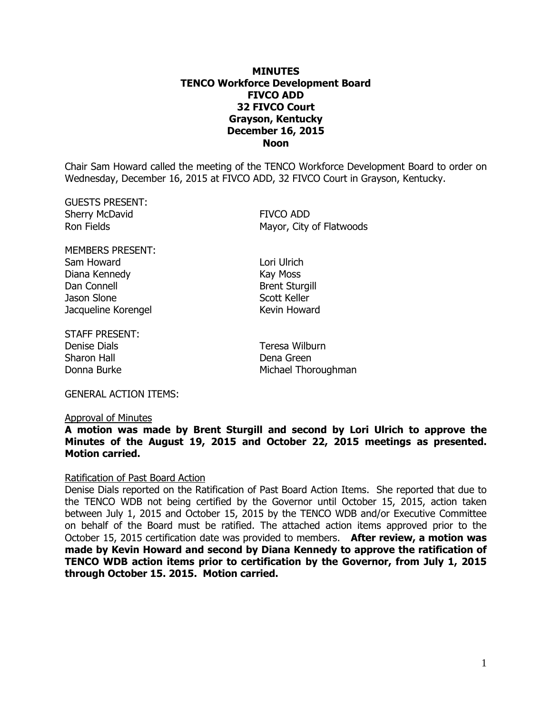# **MINUTES TENCO Workforce Development Board FIVCO ADD 32 FIVCO Court Grayson, Kentucky December 16, 2015 Noon**

Chair Sam Howard called the meeting of the TENCO Workforce Development Board to order on Wednesday, December 16, 2015 at FIVCO ADD, 32 FIVCO Court in Grayson, Kentucky.

GUESTS PRESENT: Sherry McDavid FIVCO ADD

MEMBERS PRESENT: Sam Howard **Lori Ulrich** Diana Kennedy **Kay Moss** Dan Connell Brent Sturgill Jason Slone Scott Keller Jacqueline Korengel **Kevin Howard** 

STAFF PRESENT: Denise Dials Teresa Wilburn Sharon Hall **Dena Green** 

GENERAL ACTION ITEMS:

#### Approval of Minutes

**A motion was made by Brent Sturgill and second by Lori Ulrich to approve the Minutes of the August 19, 2015 and October 22, 2015 meetings as presented. Motion carried.**

#### Ratification of Past Board Action

Denise Dials reported on the Ratification of Past Board Action Items. She reported that due to the TENCO WDB not being certified by the Governor until October 15, 2015, action taken between July 1, 2015 and October 15, 2015 by the TENCO WDB and/or Executive Committee on behalf of the Board must be ratified. The attached action items approved prior to the October 15, 2015 certification date was provided to members. **After review, a motion was made by Kevin Howard and second by Diana Kennedy to approve the ratification of TENCO WDB action items prior to certification by the Governor, from July 1, 2015 through October 15. 2015. Motion carried.**

Ron Fields **Mayor**, City of Flatwoods

Donna Burke Michael Thoroughman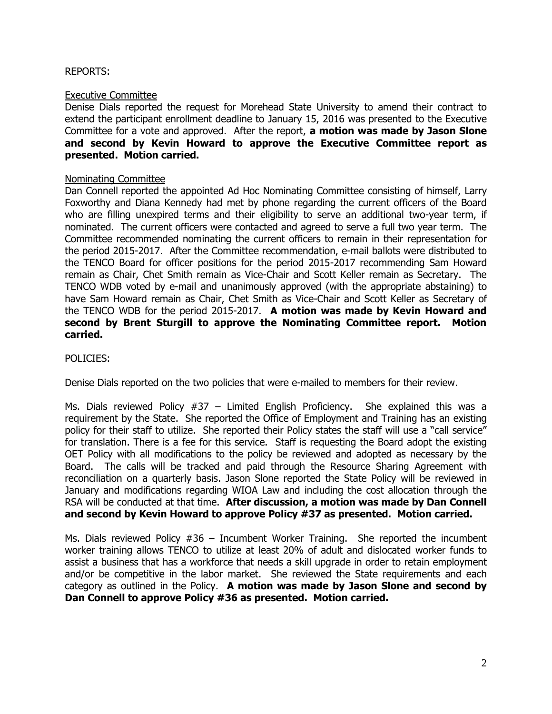# REPORTS:

# Executive Committee

Denise Dials reported the request for Morehead State University to amend their contract to extend the participant enrollment deadline to January 15, 2016 was presented to the Executive Committee for a vote and approved. After the report, **a motion was made by Jason Slone and second by Kevin Howard to approve the Executive Committee report as presented. Motion carried.**

## Nominating Committee

Dan Connell reported the appointed Ad Hoc Nominating Committee consisting of himself, Larry Foxworthy and Diana Kennedy had met by phone regarding the current officers of the Board who are filling unexpired terms and their eligibility to serve an additional two-year term, if nominated. The current officers were contacted and agreed to serve a full two year term. The Committee recommended nominating the current officers to remain in their representation for the period 2015-2017. After the Committee recommendation, e-mail ballots were distributed to the TENCO Board for officer positions for the period 2015-2017 recommending Sam Howard remain as Chair, Chet Smith remain as Vice-Chair and Scott Keller remain as Secretary. The TENCO WDB voted by e-mail and unanimously approved (with the appropriate abstaining) to have Sam Howard remain as Chair, Chet Smith as Vice-Chair and Scott Keller as Secretary of the TENCO WDB for the period 2015-2017. **A motion was made by Kevin Howard and second by Brent Sturgill to approve the Nominating Committee report. Motion carried.** 

## POLICIES:

Denise Dials reported on the two policies that were e-mailed to members for their review.

Ms. Dials reviewed Policy #37 – Limited English Proficiency. She explained this was a requirement by the State. She reported the Office of Employment and Training has an existing policy for their staff to utilize. She reported their Policy states the staff will use a "call service" for translation. There is a fee for this service. Staff is requesting the Board adopt the existing OET Policy with all modifications to the policy be reviewed and adopted as necessary by the Board. The calls will be tracked and paid through the Resource Sharing Agreement with reconciliation on a quarterly basis. Jason Slone reported the State Policy will be reviewed in January and modifications regarding WIOA Law and including the cost allocation through the RSA will be conducted at that time. **After discussion, a motion was made by Dan Connell and second by Kevin Howard to approve Policy #37 as presented. Motion carried.**

Ms. Dials reviewed Policy  $#36 -$  Incumbent Worker Training. She reported the incumbent worker training allows TENCO to utilize at least 20% of adult and dislocated worker funds to assist a business that has a workforce that needs a skill upgrade in order to retain employment and/or be competitive in the labor market. She reviewed the State requirements and each category as outlined in the Policy. **A motion was made by Jason Slone and second by Dan Connell to approve Policy #36 as presented. Motion carried.**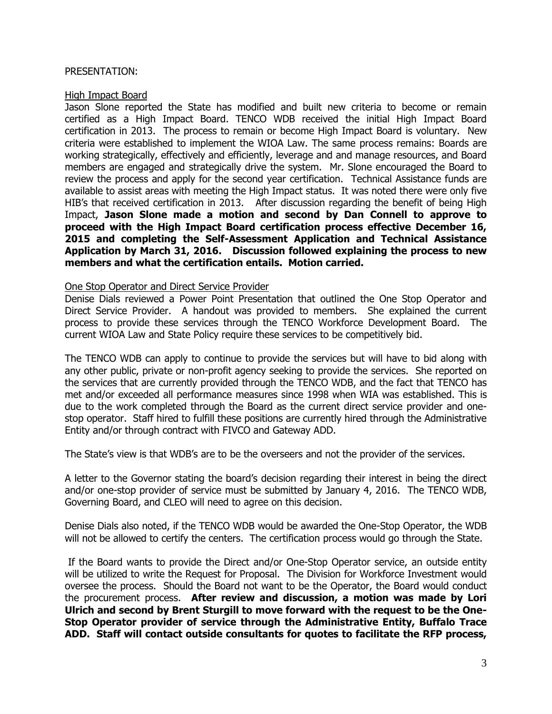## PRESENTATION:

### High Impact Board

Jason Slone reported the State has modified and built new criteria to become or remain certified as a High Impact Board. TENCO WDB received the initial High Impact Board certification in 2013. The process to remain or become High Impact Board is voluntary. New criteria were established to implement the WIOA Law. The same process remains: Boards are working strategically, effectively and efficiently, leverage and and manage resources, and Board members are engaged and strategically drive the system. Mr. Slone encouraged the Board to review the process and apply for the second year certification. Technical Assistance funds are available to assist areas with meeting the High Impact status. It was noted there were only five HIB's that received certification in 2013. After discussion regarding the benefit of being High Impact, **Jason Slone made a motion and second by Dan Connell to approve to proceed with the High Impact Board certification process effective December 16, 2015 and completing the Self-Assessment Application and Technical Assistance Application by March 31, 2016. Discussion followed explaining the process to new members and what the certification entails. Motion carried.**

## One Stop Operator and Direct Service Provider

Denise Dials reviewed a Power Point Presentation that outlined the One Stop Operator and Direct Service Provider. A handout was provided to members. She explained the current process to provide these services through the TENCO Workforce Development Board. The current WIOA Law and State Policy require these services to be competitively bid.

The TENCO WDB can apply to continue to provide the services but will have to bid along with any other public, private or non-profit agency seeking to provide the services. She reported on the services that are currently provided through the TENCO WDB, and the fact that TENCO has met and/or exceeded all performance measures since 1998 when WIA was established. This is due to the work completed through the Board as the current direct service provider and onestop operator. Staff hired to fulfill these positions are currently hired through the Administrative Entity and/or through contract with FIVCO and Gateway ADD.

The State's view is that WDB's are to be the overseers and not the provider of the services.

A letter to the Governor stating the board's decision regarding their interest in being the direct and/or one-stop provider of service must be submitted by January 4, 2016. The TENCO WDB, Governing Board, and CLEO will need to agree on this decision.

Denise Dials also noted, if the TENCO WDB would be awarded the One-Stop Operator, the WDB will not be allowed to certify the centers. The certification process would go through the State.

If the Board wants to provide the Direct and/or One-Stop Operator service, an outside entity will be utilized to write the Request for Proposal. The Division for Workforce Investment would oversee the process. Should the Board not want to be the Operator, the Board would conduct the procurement process. **After review and discussion, a motion was made by Lori Ulrich and second by Brent Sturgill to move forward with the request to be the One-Stop Operator provider of service through the Administrative Entity, Buffalo Trace ADD. Staff will contact outside consultants for quotes to facilitate the RFP process,**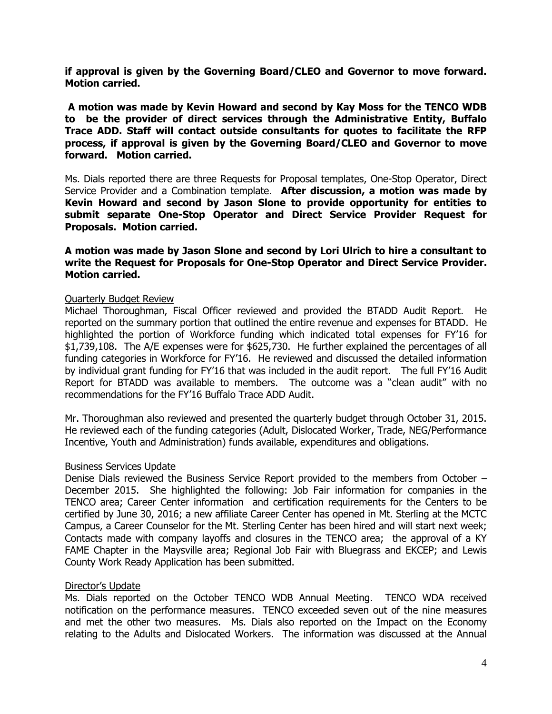**if approval is given by the Governing Board/CLEO and Governor to move forward. Motion carried.**

**A motion was made by Kevin Howard and second by Kay Moss for the TENCO WDB to be the provider of direct services through the Administrative Entity, Buffalo Trace ADD. Staff will contact outside consultants for quotes to facilitate the RFP process, if approval is given by the Governing Board/CLEO and Governor to move forward. Motion carried.**

Ms. Dials reported there are three Requests for Proposal templates, One-Stop Operator, Direct Service Provider and a Combination template. **After discussion, a motion was made by Kevin Howard and second by Jason Slone to provide opportunity for entities to submit separate One-Stop Operator and Direct Service Provider Request for Proposals. Motion carried.**

# **A motion was made by Jason Slone and second by Lori Ulrich to hire a consultant to write the Request for Proposals for One-Stop Operator and Direct Service Provider. Motion carried.**

## Quarterly Budget Review

Michael Thoroughman, Fiscal Officer reviewed and provided the BTADD Audit Report. He reported on the summary portion that outlined the entire revenue and expenses for BTADD. He highlighted the portion of Workforce funding which indicated total expenses for FY'16 for \$1,739,108. The A/E expenses were for \$625,730. He further explained the percentages of all funding categories in Workforce for FY'16. He reviewed and discussed the detailed information by individual grant funding for FY'16 that was included in the audit report. The full FY'16 Audit Report for BTADD was available to members. The outcome was a "clean audit" with no recommendations for the FY'16 Buffalo Trace ADD Audit.

Mr. Thoroughman also reviewed and presented the quarterly budget through October 31, 2015. He reviewed each of the funding categories (Adult, Dislocated Worker, Trade, NEG/Performance Incentive, Youth and Administration) funds available, expenditures and obligations.

#### Business Services Update

Denise Dials reviewed the Business Service Report provided to the members from October – December 2015. She highlighted the following: Job Fair information for companies in the TENCO area; Career Center information and certification requirements for the Centers to be certified by June 30, 2016; a new affiliate Career Center has opened in Mt. Sterling at the MCTC Campus, a Career Counselor for the Mt. Sterling Center has been hired and will start next week; Contacts made with company layoffs and closures in the TENCO area; the approval of a KY FAME Chapter in the Maysville area; Regional Job Fair with Bluegrass and EKCEP; and Lewis County Work Ready Application has been submitted.

#### Director's Update

Ms. Dials reported on the October TENCO WDB Annual Meeting. TENCO WDA received notification on the performance measures. TENCO exceeded seven out of the nine measures and met the other two measures. Ms. Dials also reported on the Impact on the Economy relating to the Adults and Dislocated Workers. The information was discussed at the Annual